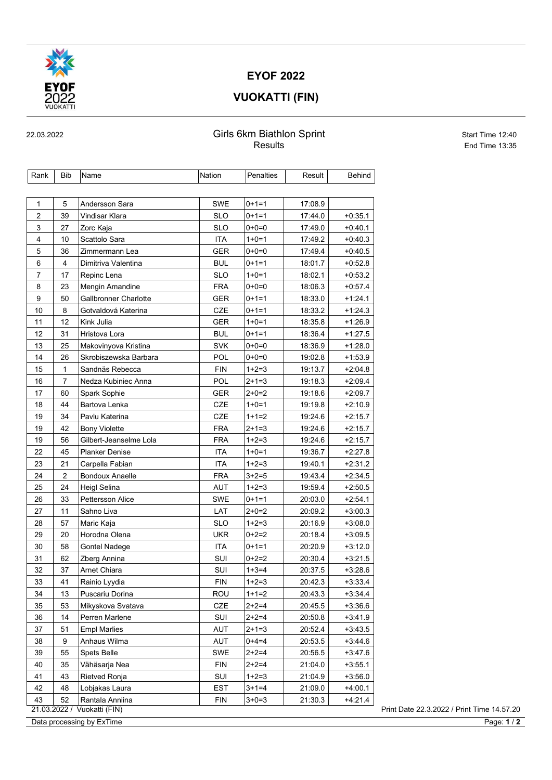

#### EYOF 2022

## VUOKATTI (FIN)

#### 22.03.2022 Girls 6km Biathlon Sprint Start Time 12:40 Results **End Time 13:35**

| 1<br>5<br>Andersson Sara<br>2<br>39<br>Vindisar Klara<br>3<br>27<br>Zorc Kaja<br>4<br>10<br>Scattolo Sara<br>5<br>36<br>Zimmermann Lea<br>6<br>4<br>Dimitriva Valentina<br>17<br>7<br>Repinc Lena<br>8<br>23<br>Mengin Amandine<br>9<br>50<br>Gallbronner Charlotte<br>10<br>8<br>Gotvaldová Katerina | <b>SWE</b><br><b>SLO</b><br><b>SLO</b><br><b>ITA</b><br><b>GER</b><br><b>BUL</b><br><b>SLO</b><br><b>FRA</b><br><b>GER</b><br>CZE<br><b>GER</b> | $0+1=1$<br>$0+1=1$<br>$0+0=0$<br>$1+0=1$<br>$0+0=0$<br>$0+1=1$<br>$1+0=1$<br>$0+0=0$<br>$0+1=1$<br>$0+1=1$ | 17:08.9<br>17:44.0<br>17:49.0<br>17:49.2<br>17:49.4<br>18:01.7<br>18:02.1<br>18:06.3<br>18:33.0 | $+0.35.1$<br>$+0.40.1$<br>$+0.40.3$<br>$+0.40.5$<br>$+0.52.8$<br>$+0.53.2$ |
|-------------------------------------------------------------------------------------------------------------------------------------------------------------------------------------------------------------------------------------------------------------------------------------------------------|-------------------------------------------------------------------------------------------------------------------------------------------------|------------------------------------------------------------------------------------------------------------|-------------------------------------------------------------------------------------------------|----------------------------------------------------------------------------|
|                                                                                                                                                                                                                                                                                                       |                                                                                                                                                 |                                                                                                            |                                                                                                 |                                                                            |
|                                                                                                                                                                                                                                                                                                       |                                                                                                                                                 |                                                                                                            |                                                                                                 |                                                                            |
|                                                                                                                                                                                                                                                                                                       |                                                                                                                                                 |                                                                                                            |                                                                                                 |                                                                            |
|                                                                                                                                                                                                                                                                                                       |                                                                                                                                                 |                                                                                                            |                                                                                                 |                                                                            |
|                                                                                                                                                                                                                                                                                                       |                                                                                                                                                 |                                                                                                            |                                                                                                 |                                                                            |
|                                                                                                                                                                                                                                                                                                       |                                                                                                                                                 |                                                                                                            |                                                                                                 |                                                                            |
|                                                                                                                                                                                                                                                                                                       |                                                                                                                                                 |                                                                                                            |                                                                                                 |                                                                            |
|                                                                                                                                                                                                                                                                                                       |                                                                                                                                                 |                                                                                                            |                                                                                                 |                                                                            |
|                                                                                                                                                                                                                                                                                                       |                                                                                                                                                 |                                                                                                            |                                                                                                 | +0:57.4                                                                    |
|                                                                                                                                                                                                                                                                                                       |                                                                                                                                                 |                                                                                                            |                                                                                                 | $+1.24.1$                                                                  |
|                                                                                                                                                                                                                                                                                                       |                                                                                                                                                 |                                                                                                            | 18:33.2                                                                                         | $+1:24.3$                                                                  |
| 11<br>12<br>Kink Julia                                                                                                                                                                                                                                                                                |                                                                                                                                                 | $1+0=1$                                                                                                    | 18:35.8                                                                                         | $+1.26.9$                                                                  |
| 12<br>31<br>Hristova Lora                                                                                                                                                                                                                                                                             | <b>BUL</b>                                                                                                                                      | $0+1=1$                                                                                                    | 18:36.4                                                                                         | $+1.27.5$                                                                  |
| 13<br>25<br>Makovinyova Kristina                                                                                                                                                                                                                                                                      | <b>SVK</b>                                                                                                                                      | $0+0=0$                                                                                                    | 18:36.9                                                                                         | $+1.28.0$                                                                  |
| 14<br>26<br>Skrobiszewska Barbara                                                                                                                                                                                                                                                                     | <b>POL</b>                                                                                                                                      | $0+0=0$                                                                                                    | 19:02.8                                                                                         | $+1:53.9$                                                                  |
| 15<br>1<br>Sandnäs Rebecca                                                                                                                                                                                                                                                                            | <b>FIN</b>                                                                                                                                      | $1+2=3$                                                                                                    | 19:13.7                                                                                         | $+2:04.8$                                                                  |
| 16<br>7<br>Nedza Kubiniec Anna                                                                                                                                                                                                                                                                        | POL                                                                                                                                             | $2+1=3$                                                                                                    | 19:18.3                                                                                         | +2:09.4                                                                    |
| 17<br>60<br>Spark Sophie                                                                                                                                                                                                                                                                              | <b>GER</b>                                                                                                                                      | $2+0=2$                                                                                                    | 19:18.6                                                                                         | $+2:09.7$                                                                  |
| 18<br>44<br>Bartova Lenka                                                                                                                                                                                                                                                                             | <b>CZE</b>                                                                                                                                      | $1+0=1$                                                                                                    | 19:19.8                                                                                         | $+2:10.9$                                                                  |
| 19<br>34<br>Pavlu Katerina                                                                                                                                                                                                                                                                            | <b>CZE</b>                                                                                                                                      | $1+1=2$                                                                                                    | 19:24.6                                                                                         | $+2:15.7$                                                                  |
| 19<br>42<br><b>Bony Violette</b>                                                                                                                                                                                                                                                                      | <b>FRA</b>                                                                                                                                      | $2+1=3$                                                                                                    | 19:24.6                                                                                         | $+2.15.7$                                                                  |
| 19<br>56<br>Gilbert-Jeanselme Lola                                                                                                                                                                                                                                                                    | FRA                                                                                                                                             | $1+2=3$                                                                                                    | 19:24.6                                                                                         | $+2.15.7$                                                                  |
| 22<br>45<br><b>Planker Denise</b>                                                                                                                                                                                                                                                                     | <b>ITA</b>                                                                                                                                      | $1+0=1$                                                                                                    | 19:36.7                                                                                         | $+2:27.8$                                                                  |
| 23<br>21<br>Carpella Fabian                                                                                                                                                                                                                                                                           | <b>ITA</b>                                                                                                                                      | $1+2=3$                                                                                                    | 19:40.1                                                                                         | $+2:31.2$                                                                  |
| 24<br>$\overline{c}$<br><b>Bondoux Anaelle</b>                                                                                                                                                                                                                                                        | <b>FRA</b>                                                                                                                                      | $3+2=5$                                                                                                    | 19:43.4                                                                                         | +2:34.5                                                                    |
| 25<br>24<br>Heigl Selina                                                                                                                                                                                                                                                                              | AUT                                                                                                                                             | $1+2=3$                                                                                                    | 19:59.4                                                                                         | $+2:50.5$                                                                  |
| 26<br>33<br>Pettersson Alice                                                                                                                                                                                                                                                                          | <b>SWE</b>                                                                                                                                      | $0+1=1$                                                                                                    | 20:03.0                                                                                         | $+2:54.1$                                                                  |
| 27<br>11<br>Sahno Liva                                                                                                                                                                                                                                                                                | LAT                                                                                                                                             | $2+0=2$                                                                                                    | 20:09.2                                                                                         | $+3:00.3$                                                                  |
| 28<br>57<br>Maric Kaja                                                                                                                                                                                                                                                                                | <b>SLO</b>                                                                                                                                      | $1+2=3$                                                                                                    | 20:16.9                                                                                         | $+3:08.0$                                                                  |
| 29<br>20<br>Horodna Olena                                                                                                                                                                                                                                                                             | <b>UKR</b>                                                                                                                                      | $0+2=2$                                                                                                    | 20:18.4                                                                                         | $+3:09.5$                                                                  |
| 30<br>58<br>Gontel Nadege                                                                                                                                                                                                                                                                             | ITA                                                                                                                                             | $0+1=1$                                                                                                    | 20:20.9                                                                                         | $+3:12.0$                                                                  |
| 31<br>62<br>Zberg Annina                                                                                                                                                                                                                                                                              | SUI                                                                                                                                             | $0+2=2$                                                                                                    | 20:30.4                                                                                         | $+3:21.5$                                                                  |
| <b>Arnet Chiara</b><br>32<br>37                                                                                                                                                                                                                                                                       | SUI                                                                                                                                             | $1+3=4$                                                                                                    | 20:37.5                                                                                         | $+3.28.6$                                                                  |
| 33<br>41<br>Rainio Lyydia                                                                                                                                                                                                                                                                             | <b>FIN</b>                                                                                                                                      | $1+2=3$                                                                                                    | 20:42.3                                                                                         | $+3.33.4$                                                                  |
| 34<br>13<br>Puscariu Dorina                                                                                                                                                                                                                                                                           | ROU                                                                                                                                             | $1+1=2$                                                                                                    | 20:43.3                                                                                         | $+3.34.4$                                                                  |
| 35<br>53<br>Mikyskova Svatava                                                                                                                                                                                                                                                                         | CZE                                                                                                                                             | $2+2=4$                                                                                                    | 20:45.5                                                                                         | $+3.36.6$                                                                  |
| 36<br>14<br>Perren Marlene                                                                                                                                                                                                                                                                            | SUI                                                                                                                                             | $2+2=4$                                                                                                    | 20:50.8                                                                                         | $+3.41.9$                                                                  |
| 37<br>51<br><b>Empl Marlies</b>                                                                                                                                                                                                                                                                       | AUT                                                                                                                                             | $2+1=3$                                                                                                    | 20:52.4                                                                                         | $+3.43.5$                                                                  |
| 38<br>9<br>Anhaus Wilma                                                                                                                                                                                                                                                                               | AUT                                                                                                                                             | $0+4=4$                                                                                                    | 20:53.5                                                                                         | +3:44.6                                                                    |
| 39<br>55<br>Spets Belle                                                                                                                                                                                                                                                                               | SWE                                                                                                                                             | $2+2=4$                                                                                                    | 20:56.5                                                                                         | $+3.47.6$                                                                  |
| 40<br>35<br>Vähäsarja Nea                                                                                                                                                                                                                                                                             | <b>FIN</b>                                                                                                                                      | $2+2=4$                                                                                                    | 21:04.0                                                                                         | $+3.55.1$                                                                  |
| 41<br>43<br>Rietved Ronja                                                                                                                                                                                                                                                                             | SUI                                                                                                                                             | $1+2=3$                                                                                                    | 21:04.9                                                                                         | $+3:56.0$                                                                  |
| 42<br>48<br>Lobjakas Laura                                                                                                                                                                                                                                                                            | EST                                                                                                                                             | $3+1=4$                                                                                                    | 21:09.0                                                                                         | +4:00.1                                                                    |
| 43<br>52<br>Rantala Anniina<br>21.03.2022 / Vuokatti (FIN)                                                                                                                                                                                                                                            | FIN                                                                                                                                             | $3+0=3$                                                                                                    | 21:30.3                                                                                         | $+4.21.4$                                                                  |

Data processing by ExTime Page: 1/2

Print Date 22.3.2022 / Print Time 14.57.20